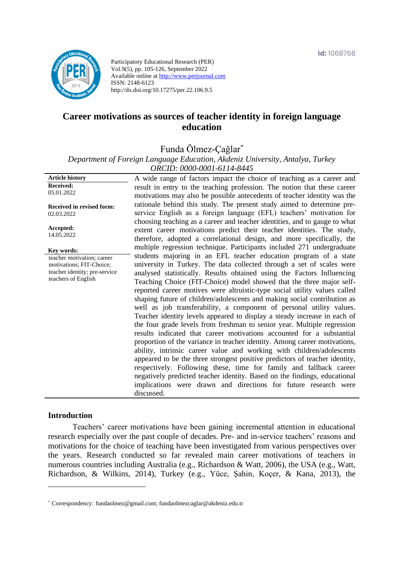

Participatory Educational Research (PER) Vol.9(5), pp. 105-126, September 2022 Available online at http://www.perjournal.com ISSN: 2148-6123 http://dx.doi.org/10.17275/per.22.106.9.5

# **Career motivations as sources of teacher identity in foreign language education**

Funda Ölmez-Çağlar\*

*Department of Foreign Language Education, Akdeniz University, Antalya, Turkey ORCID: 0000-0001-6114-8445*

| <b>Article history</b>        | A wide range of factors impact the choice of teaching as a career and       |
|-------------------------------|-----------------------------------------------------------------------------|
| <b>Received:</b>              | result in entry to the teaching profession. The notion that these career    |
| 05.01.2022                    | motivations may also be possible antecedents of teacher identity was the    |
| Received in revised form:     | rationale behind this study. The present study aimed to determine pre-      |
| 02.03.2022                    | service English as a foreign language (EFL) teachers' motivation for        |
|                               | choosing teaching as a career and teacher identities, and to gauge to what  |
| Accepted:                     | extent career motivations predict their teacher identities. The study,      |
| 14.05.2022                    | therefore, adopted a correlational design, and more specifically, the       |
| Key words:                    | multiple regression technique. Participants included 271 undergraduate      |
| teacher motivation; career    | students majoring in an EFL teacher education program of a state            |
| motivations; FIT-Choice;      | university in Turkey. The data collected through a set of scales were       |
| teacher identity; pre-service | analysed statistically. Results obtained using the Factors Influencing      |
| teachers of English           | Teaching Choice (FIT-Choice) model showed that the three major self-        |
|                               | reported career motives were altruistic-type social utility values called   |
|                               | shaping future of children/adolescents and making social contribution as    |
|                               | well as job transferability, a component of personal utility values.        |
|                               | Teacher identity levels appeared to display a steady increase in each of    |
|                               | the four grade levels from freshman to senior year. Multiple regression     |
|                               | results indicated that career motivations accounted for a substantial       |
|                               | proportion of the variance in teacher identity. Among career motivations,   |
|                               | ability, intrinsic career value and working with children/adolescents       |
|                               | appeared to be the three strongest positive predictors of teacher identity, |
|                               | respectively. Following these, time for family and fallback career          |
|                               | negatively predicted teacher identity. Based on the findings, educational   |
|                               | implications were drawn and directions for future research were             |
|                               | discussed.                                                                  |
|                               |                                                                             |

#### **Introduction**

Teachers' career motivations have been gaining incremental attention in educational research especially over the past couple of decades. Pre- and in-service teachers' reasons and motivations for the choice of teaching have been investigated from various perspectives over the years. Research conducted so far revealed main career motivations of teachers in numerous countries including Australia (e.g., Richardson & Watt, 2006), the USA (e.g., Watt, Richardson, & Wilkins, 2014), Turkey (e.g., Yüce, Şahin, Koçer, & Kana, 2013), the

<sup>\*</sup> [Correspondency:](mailto:Correspondency:) fundaolmez@gmail.com; fundaolmezcaglar@akdeniz.edu.tr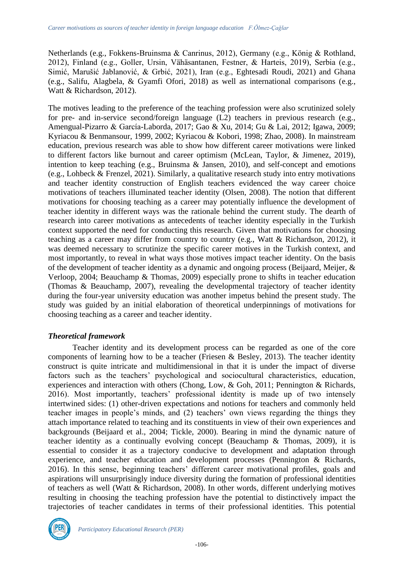Netherlands (e.g., Fokkens-Bruinsma & Canrinus, 2012), Germany (e.g., König & Rothland, 2012), Finland (e.g., Goller, Ursin, Vähäsantanen, Festner, & Harteis, 2019), Serbia (e.g., Simić, Marušić Jablanović, & Grbić, 2021), Iran (e.g., Eghtesadi Roudi, 2021) and Ghana (e.g., Salifu, Alagbela, & Gyamfi Ofori, 2018) as well as international comparisons (e.g., Watt & Richardson, 2012).

The motives leading to the preference of the teaching profession were also scrutinized solely for pre- and in-service second/foreign language (L2) teachers in previous research (e.g., Amengual-Pizarro & García-Laborda, 2017; Gao & Xu, 2014; Gu & Lai, 2012; Igawa, 2009; Kyriacou & Benmansour, 1999, 2002; Kyriacou & Kobori, 1998; Zhao, 2008). In mainstream education, previous research was able to show how different career motivations were linked to different factors like burnout and career optimism (McLean, Taylor, & Jimenez, 2019), intention to keep teaching (e.g., Bruinsma & Jansen, 2010), and self-concept and emotions (e.g., Lohbeck & Frenzel, 2021). Similarly, a qualitative research study into entry motivations and teacher identity construction of English teachers evidenced the way career choice motivations of teachers illuminated teacher identity (Olsen, 2008). The notion that different motivations for choosing teaching as a career may potentially influence the development of teacher identity in different ways was the rationale behind the current study. The dearth of research into career motivations as antecedents of teacher identity especially in the Turkish context supported the need for conducting this research. Given that motivations for choosing teaching as a career may differ from country to country (e.g., Watt & Richardson, 2012), it was deemed necessary to scrutinize the specific career motives in the Turkish context, and most importantly, to reveal in what ways those motives impact teacher identity. On the basis of the development of teacher identity as a dynamic and ongoing process (Beijaard, Meijer, & Verloop, 2004; Beauchamp & Thomas, 2009) especially prone to shifts in teacher education (Thomas & Beauchamp, 2007), revealing the developmental trajectory of teacher identity during the four-year university education was another impetus behind the present study. The study was guided by an initial elaboration of theoretical underpinnings of motivations for choosing teaching as a career and teacher identity.

# *Theoretical framework*

Teacher identity and its development process can be regarded as one of the core components of learning how to be a teacher (Friesen & Besley, 2013). The teacher identity construct is quite intricate and multidimensional in that it is under the impact of diverse factors such as the teachers' psychological and sociocultural characteristics, education, experiences and interaction with others (Chong, Low, & Goh, 2011; Pennington & Richards, 2016). Most importantly, teachers' professional identity is made up of two intensely intertwined sides: (1) other-driven expectations and notions for teachers and commonly held teacher images in people's minds, and (2) teachers' own views regarding the things they attach importance related to teaching and its constituents in view of their own experiences and backgrounds (Beijaard et al., 2004; Tickle, 2000). Bearing in mind the dynamic nature of teacher identity as a continually evolving concept (Beauchamp & Thomas, 2009), it is essential to consider it as a trajectory conducive to development and adaptation through experience, and teacher education and development processes (Pennington & Richards, 2016). In this sense, beginning teachers' different career motivational profiles, goals and aspirations will unsurprisingly induce diversity during the formation of professional identities of teachers as well (Watt & Richardson, 2008). In other words, different underlying motives resulting in choosing the teaching profession have the potential to distinctively impact the trajectories of teacher candidates in terms of their professional identities. This potential

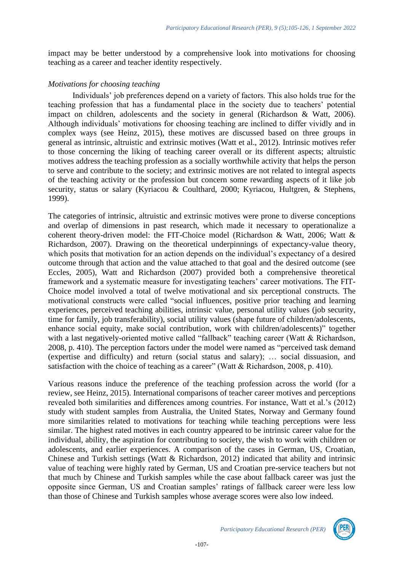impact may be better understood by a comprehensive look into motivations for choosing teaching as a career and teacher identity respectively.

### *Motivations for choosing teaching*

Individuals' job preferences depend on a variety of factors. This also holds true for the teaching profession that has a fundamental place in the society due to teachers' potential impact on children, adolescents and the society in general (Richardson & Watt, 2006). Although individuals' motivations for choosing teaching are inclined to differ vividly and in complex ways (see Heinz, 2015), these motives are discussed based on three groups in general as intrinsic, altruistic and extrinsic motives (Watt et al., 2012). Intrinsic motives refer to those concerning the liking of teaching career overall or its different aspects; altruistic motives address the teaching profession as a socially worthwhile activity that helps the person to serve and contribute to the society; and extrinsic motives are not related to integral aspects of the teaching activity or the profession but concern some rewarding aspects of it like job security, status or salary (Kyriacou & Coulthard, 2000; Kyriacou, Hultgren, & Stephens, 1999).

The categories of intrinsic, altruistic and extrinsic motives were prone to diverse conceptions and overlap of dimensions in past research, which made it necessary to operationalize a coherent theory-driven model: the FIT-Choice model (Richardson & Watt, 2006; Watt & Richardson, 2007). Drawing on the theoretical underpinnings of expectancy-value theory, which posits that motivation for an action depends on the individual's expectancy of a desired outcome through that action and the value attached to that goal and the desired outcome (see Eccles, 2005), Watt and Richardson (2007) provided both a comprehensive theoretical framework and a systematic measure for investigating teachers' career motivations. The FIT-Choice model involved a total of twelve motivational and six perceptional constructs. The motivational constructs were called "social influences, positive prior teaching and learning experiences, perceived teaching abilities, intrinsic value, personal utility values (job security, time for family, job transferability), social utility values (shape future of children/adolescents, enhance social equity, make social contribution, work with children/adolescents)" together with a last negatively-oriented motive called "fallback" teaching career (Watt & Richardson, 2008, p. 410). The perception factors under the model were named as "perceived task demand (expertise and difficulty) and return (social status and salary); … social dissuasion, and satisfaction with the choice of teaching as a career" (Watt & Richardson, 2008, p. 410).

Various reasons induce the preference of the teaching profession across the world (for a review, see Heinz, 2015). International comparisons of teacher career motives and perceptions revealed both similarities and differences among countries. For instance, Watt et al.'s (2012) study with student samples from Australia, the United States, Norway and Germany found more similarities related to motivations for teaching while teaching perceptions were less similar. The highest rated motives in each country appeared to be intrinsic career value for the individual, ability, the aspiration for contributing to society, the wish to work with children or adolescents, and earlier experiences. A comparison of the cases in German, US, Croatian, Chinese and Turkish settings (Watt & Richardson, 2012) indicated that ability and intrinsic value of teaching were highly rated by German, US and Croatian pre-service teachers but not that much by Chinese and Turkish samples while the case about fallback career was just the opposite since German, US and Croatian samples' ratings of fallback career were less low than those of Chinese and Turkish samples whose average scores were also low indeed.

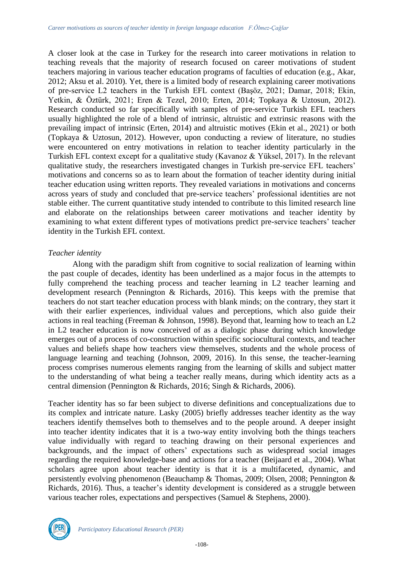A closer look at the case in Turkey for the research into career motivations in relation to teaching reveals that the majority of research focused on career motivations of student teachers majoring in various teacher education programs of faculties of education (e.g., Akar, 2012; Aksu et al. 2010). Yet, there is a limited body of research explaining career motivations of pre-service L2 teachers in the Turkish EFL context (Başöz, 2021; Damar, 2018; Ekin, Yetkin, & Öztürk, 2021; Eren & Tezel, 2010; Erten, 2014; Topkaya & Uztosun, 2012). Research conducted so far specifically with samples of pre-service Turkish EFL teachers usually highlighted the role of a blend of intrinsic, altruistic and extrinsic reasons with the prevailing impact of intrinsic (Erten, 2014) and altruistic motives (Ekin et al., 2021) or both (Topkaya & Uztosun, 2012). However, upon conducting a review of literature, no studies were encountered on entry motivations in relation to teacher identity particularly in the Turkish EFL context except for a qualitative study (Kavanoz & Yüksel, 2017). In the relevant qualitative study, the researchers investigated changes in Turkish pre-service EFL teachers' motivations and concerns so as to learn about the formation of teacher identity during initial teacher education using written reports. They revealed variations in motivations and concerns across years of study and concluded that pre-service teachers' professional identities are not stable either. The current quantitative study intended to contribute to this limited research line and elaborate on the relationships between career motivations and teacher identity by examining to what extent different types of motivations predict pre-service teachers' teacher identity in the Turkish EFL context.

### *Teacher identity*

Along with the paradigm shift from cognitive to social realization of learning within the past couple of decades, identity has been underlined as a major focus in the attempts to fully comprehend the teaching process and teacher learning in L2 teacher learning and development research (Pennington & Richards, 2016). This keeps with the premise that teachers do not start teacher education process with blank minds; on the contrary, they start it with their earlier experiences, individual values and perceptions, which also guide their actions in real teaching (Freeman & Johnson, 1998). Beyond that, learning how to teach an L2 in L2 teacher education is now conceived of as a dialogic phase during which knowledge emerges out of a process of co-construction within specific sociocultural contexts, and teacher values and beliefs shape how teachers view themselves, students and the whole process of language learning and teaching (Johnson, 2009, 2016). In this sense, the teacher-learning process comprises numerous elements ranging from the learning of skills and subject matter to the understanding of what being a teacher really means, during which identity acts as a central dimension (Pennington & Richards, 2016; Singh & Richards, 2006).

Teacher identity has so far been subject to diverse definitions and conceptualizations due to its complex and intricate nature. Lasky (2005) briefly addresses teacher identity as the way teachers identify themselves both to themselves and to the people around. A deeper insight into teacher identity indicates that it is a two-way entity involving both the things teachers value individually with regard to teaching drawing on their personal experiences and backgrounds, and the impact of others' expectations such as widespread social images regarding the required knowledge-base and actions for a teacher (Beijaard et al., 2004). What scholars agree upon about teacher identity is that it is a multifaceted, dynamic, and persistently evolving phenomenon (Beauchamp & Thomas, 2009; Olsen, 2008; Pennington & Richards, 2016). Thus, a teacher's identity development is considered as a struggle between various teacher roles, expectations and perspectives (Samuel & Stephens, 2000).

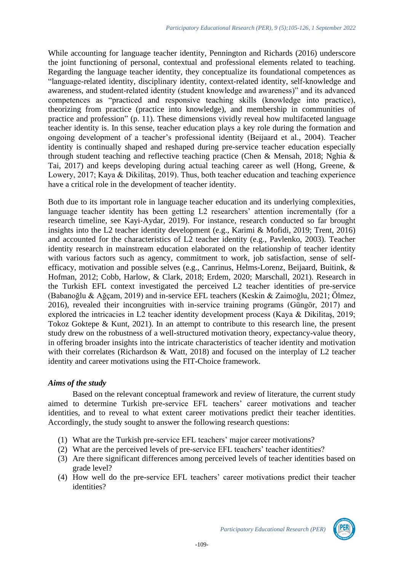While accounting for language teacher identity, Pennington and Richards (2016) underscore the joint functioning of personal, contextual and professional elements related to teaching. Regarding the language teacher identity, they conceptualize its foundational competences as "language-related identity, disciplinary identity, context-related identity, self-knowledge and awareness, and student-related identity (student knowledge and awareness)" and its advanced competences as "practiced and responsive teaching skills (knowledge into practice), theorizing from practice (practice into knowledge), and membership in communities of practice and profession" (p. 11). These dimensions vividly reveal how multifaceted language teacher identity is. In this sense, teacher education plays a key role during the formation and ongoing development of a teacher's professional identity (Beijaard et al., 2004). Teacher identity is continually shaped and reshaped during pre-service teacher education especially through student teaching and reflective teaching practice (Chen & Mensah, 2018; Nghia & Tai, 2017) and keeps developing during actual teaching career as well (Hong, Greene, & Lowery, 2017; Kaya & Dikilitaş, 2019). Thus, both teacher education and teaching experience have a critical role in the development of teacher identity.

Both due to its important role in language teacher education and its underlying complexities, language teacher identity has been getting L2 researchers' attention incrementally (for a research timeline, see Kayi-Aydar, 2019). For instance, research conducted so far brought insights into the L2 teacher identity development (e.g., Karimi & Mofidi, 2019; Trent, 2016) and accounted for the characteristics of L2 teacher identity (e.g., Pavlenko, 2003). Teacher identity research in mainstream education elaborated on the relationship of teacher identity with various factors such as agency, commitment to work, job satisfaction, sense of selfefficacy, motivation and possible selves (e.g., Canrinus, Helms-Lorenz, Beijaard, Buitink, & Hofman, 2012; Cobb, Harlow, & Clark, 2018; Erdem, 2020; Marschall, 2021). Research in the Turkish EFL context investigated the perceived L2 teacher identities of pre-service (Babanoğlu & Ağçam, 2019) and in-service EFL teachers (Keskin & Zaimoğlu, 2021; Ölmez, 2016), revealed their incongruities with in-service training programs (Güngör, 2017) and explored the intricacies in L2 teacher identity development process (Kaya & Dikilitaş, 2019; Tokoz Goktepe & Kunt, 2021). In an attempt to contribute to this research line, the present study drew on the robustness of a well-structured motivation theory, expectancy-value theory, in offering broader insights into the intricate characteristics of teacher identity and motivation with their correlates (Richardson & Watt, 2018) and focused on the interplay of L2 teacher identity and career motivations using the FIT-Choice framework.

### *Aims of the study*

Based on the relevant conceptual framework and review of literature, the current study aimed to determine Turkish pre-service EFL teachers' career motivations and teacher identities, and to reveal to what extent career motivations predict their teacher identities. Accordingly, the study sought to answer the following research questions:

- (1) What are the Turkish pre-service EFL teachers' major career motivations?
- (2) What are the perceived levels of pre-service EFL teachers' teacher identities?
- (3) Are there significant differences among perceived levels of teacher identities based on grade level?
- (4) How well do the pre-service EFL teachers' career motivations predict their teacher identities?

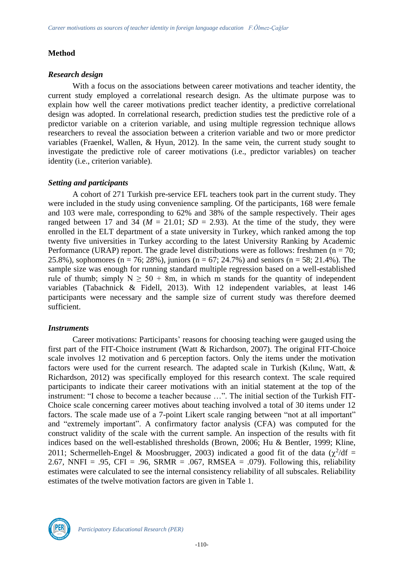# **Method**

### *Research design*

With a focus on the associations between career motivations and teacher identity, the current study employed a correlational research design. As the ultimate purpose was to explain how well the career motivations predict teacher identity, a predictive correlational design was adopted. In correlational research, prediction studies test the predictive role of a predictor variable on a criterion variable, and using multiple regression technique allows researchers to reveal the association between a criterion variable and two or more predictor variables (Fraenkel, Wallen, & Hyun, 2012). In the same vein, the current study sought to investigate the predictive role of career motivations (i.e., predictor variables) on teacher identity (i.e., criterion variable).

# *Setting and participants*

A cohort of 271 Turkish pre-service EFL teachers took part in the current study. They were included in the study using convenience sampling. Of the participants, 168 were female and 103 were male, corresponding to 62% and 38% of the sample respectively. Their ages ranged between 17 and 34 ( $M = 21.01$ ;  $SD = 2.93$ ). At the time of the study, they were enrolled in the ELT department of a state university in Turkey, which ranked among the top twenty five universities in Turkey according to the latest University Ranking by Academic Performance (URAP) report. The grade level distributions were as follows: freshmen ( $n = 70$ ; 25.8%), sophomores (n = 76; 28%), juniors (n = 67; 24.7%) and seniors (n = 58; 21.4%). The sample size was enough for running standard multiple regression based on a well-established rule of thumb; simply  $N \ge 50 + 8m$ , in which m stands for the quantity of independent variables (Tabachnick & Fidell, 2013). With 12 independent variables, at least 146 participants were necessary and the sample size of current study was therefore deemed sufficient.

# *Instruments*

Career motivations: Participants' reasons for choosing teaching were gauged using the first part of the FIT-Choice instrument (Watt & Richardson, 2007). The original FIT-Choice scale involves 12 motivation and 6 perception factors. Only the items under the motivation factors were used for the current research. The adapted scale in Turkish (Kılınç, Watt, & Richardson, 2012) was specifically employed for this research context. The scale required participants to indicate their career motivations with an initial statement at the top of the instrument: "I chose to become a teacher because …". The initial section of the Turkish FIT-Choice scale concerning career motives about teaching involved a total of 30 items under 12 factors. The scale made use of a 7-point Likert scale ranging between "not at all important" and "extremely important". A confirmatory factor analysis (CFA) was computed for the construct validity of the scale with the current sample. An inspection of the results with fit indices based on the well-established thresholds (Brown, 2006; Hu & Bentler, 1999; Kline, 2011; Schermelleh-Engel & Moosbrugger, 2003) indicated a good fit of the data ( $\chi^2/df$  = 2.67, NNFI = .95, CFI = .96, SRMR = .067, RMSEA = .079). Following this, reliability estimates were calculated to see the internal consistency reliability of all subscales. Reliability estimates of the twelve motivation factors are given in Table 1.

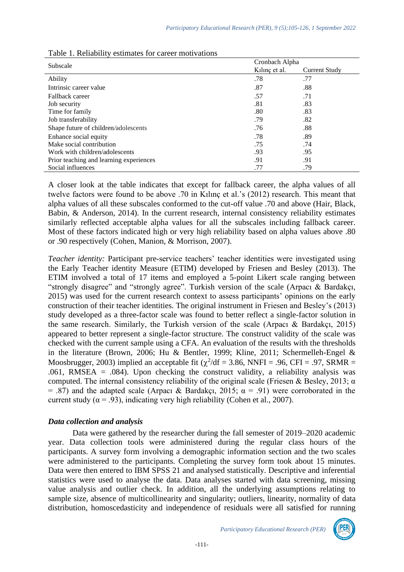|                                         | Cronbach Alpha |               |  |  |  |
|-----------------------------------------|----------------|---------------|--|--|--|
| Subscale                                | Kilinc et al.  | Current Study |  |  |  |
| Ability                                 | .78            | .77           |  |  |  |
| Intrinsic career value                  | .87            | .88           |  |  |  |
| Fallback career                         | .57            | .71           |  |  |  |
| Job security                            | .81            | .83           |  |  |  |
| Time for family                         | .80            | .83           |  |  |  |
| Job transferability                     | .79            | .82           |  |  |  |
| Shape future of children/adolescents    | .76            | .88           |  |  |  |
| Enhance social equity                   | .78            | .89           |  |  |  |
| Make social contribution                | .75            | .74           |  |  |  |
| Work with children/adolescents          | .93            | .95           |  |  |  |
| Prior teaching and learning experiences | .91            | .91           |  |  |  |
| Social influences                       | .77            | .79           |  |  |  |

| Table 1. Reliability estimates for career motivations |  |  |
|-------------------------------------------------------|--|--|
|-------------------------------------------------------|--|--|

A closer look at the table indicates that except for fallback career, the alpha values of all twelve factors were found to be above .70 in Kılınç et al.'s (2012) research. This meant that alpha values of all these subscales conformed to the cut-off value .70 and above (Hair, Black, Babin, & Anderson, 2014). In the current research, internal consistency reliability estimates similarly reflected acceptable alpha values for all the subscales including fallback career. Most of these factors indicated high or very high reliability based on alpha values above .80 or .90 respectively (Cohen, Manion, & Morrison, 2007).

*Teacher identity:* Participant pre-service teachers' teacher identities were investigated using the Early Teacher identity Measure (ETIM) developed by Friesen and Besley (2013). The ETIM involved a total of 17 items and employed a 5-point Likert scale ranging between "strongly disagree" and "strongly agree". Turkish version of the scale (Arpacı & Bardakçı, 2015) was used for the current research context to assess participants' opinions on the early construction of their teacher identities. The original instrument in Friesen and Besley's (2013) study developed as a three-factor scale was found to better reflect a single-factor solution in the same research. Similarly, the Turkish version of the scale (Arpacı & Bardakçı, 2015) appeared to better represent a single-factor structure. The construct validity of the scale was checked with the current sample using a CFA. An evaluation of the results with the thresholds in the literature (Brown, 2006; Hu & Bentler, 1999; Kline, 2011; Schermelleh-Engel & Moosbrugger, 2003) implied an acceptable fit ( $\chi^2$ /df = 3.86, NNFI = .96, CFI = .97, SRMR = .061, RMSEA = .084). Upon checking the construct validity, a reliability analysis was computed. The internal consistency reliability of the original scale (Friesen & Besley, 2013;  $\alpha$ ) = .87) and the adapted scale (Arpacı & Bardakçı, 2015;  $\alpha$  = .91) were corroborated in the current study ( $\alpha$  = .93), indicating very high reliability (Cohen et al., 2007).

### *Data collection and analysis*

Data were gathered by the researcher during the fall semester of 2019–2020 academic year. Data collection tools were administered during the regular class hours of the participants. A survey form involving a demographic information section and the two scales were administered to the participants. Completing the survey form took about 15 minutes. Data were then entered to IBM SPSS 21 and analysed statistically. Descriptive and inferential statistics were used to analyse the data. Data analyses started with data screening, missing value analysis and outlier check. In addition, all the underlying assumptions relating to sample size, absence of multicollinearity and singularity; outliers, linearity, normality of data distribution, homoscedasticity and independence of residuals were all satisfied for running

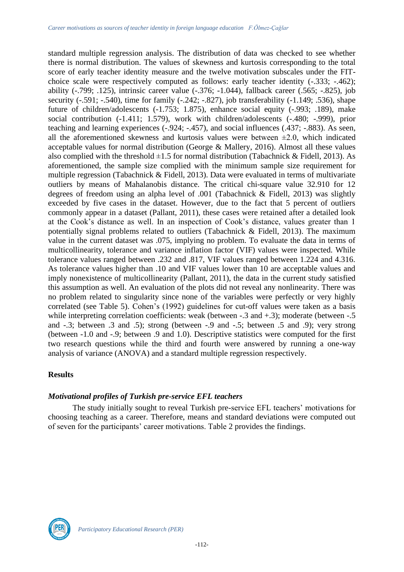standard multiple regression analysis. The distribution of data was checked to see whether there is normal distribution. The values of skewness and kurtosis corresponding to the total score of early teacher identity measure and the twelve motivation subscales under the FITchoice scale were respectively computed as follows: early teacher identity (-.333; -.462); ability (-.799; .125), intrinsic career value (-.376; -1.044), fallback career (.565; -.825), job security (-.591; -.540), time for family (-.242; -.827), job transferability (-1.149; .536), shape future of children/adolescents (-1.753; 1.875), enhance social equity (-.993; .189), make social contribution (-1.411; 1.579), work with children/adolescents (-.480; -.999), prior teaching and learning experiences (-.924; -.457), and social influences (.437; -.883). As seen, all the aforementioned skewness and kurtosis values were between  $\pm 2.0$ , which indicated acceptable values for normal distribution (George  $\&$  Mallery, 2016). Almost all these values also complied with the threshold  $\pm 1.5$  for normal distribution (Tabachnick & Fidell, 2013). As aforementioned, the sample size complied with the minimum sample size requirement for multiple regression (Tabachnick & Fidell, 2013). Data were evaluated in terms of multivariate outliers by means of Mahalanobis distance. The critical chi-square value 32.910 for 12 degrees of freedom using an alpha level of .001 (Tabachnick & Fidell, 2013) was slightly exceeded by five cases in the dataset. However, due to the fact that 5 percent of outliers commonly appear in a dataset (Pallant, 2011), these cases were retained after a detailed look at the Cook's distance as well. In an inspection of Cook's distance, values greater than 1 potentially signal problems related to outliers (Tabachnick & Fidell, 2013). The maximum value in the current dataset was .075, implying no problem. To evaluate the data in terms of multicollinearity, tolerance and variance inflation factor (VIF) values were inspected. While tolerance values ranged between .232 and .817, VIF values ranged between 1.224 and 4.316. As tolerance values higher than .10 and VIF values lower than 10 are acceptable values and imply nonexistence of multicollinearity (Pallant, 2011), the data in the current study satisfied this assumption as well. An evaluation of the plots did not reveal any nonlinearity. There was no problem related to singularity since none of the variables were perfectly or very highly correlated (see Table 5). Cohen's (1992) guidelines for cut-off values were taken as a basis while interpreting correlation coefficients: weak (between -.3 and +.3); moderate (between -.5 and -.3; between .3 and .5); strong (between -.9 and -.5; between .5 and .9); very strong (between -1.0 and -.9; between .9 and 1.0). Descriptive statistics were computed for the first two research questions while the third and fourth were answered by running a one-way analysis of variance (ANOVA) and a standard multiple regression respectively.

# **Results**

### *Motivational profiles of Turkish pre-service EFL teachers*

The study initially sought to reveal Turkish pre-service EFL teachers' motivations for choosing teaching as a career. Therefore, means and standard deviations were computed out of seven for the participants' career motivations. Table 2 provides the findings.

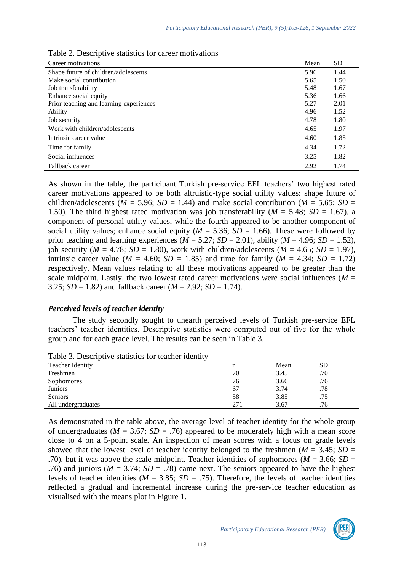| Career motivations                      | Mean | <b>SD</b> |
|-----------------------------------------|------|-----------|
| Shape future of children/adolescents    | 5.96 | 1.44      |
| Make social contribution                | 5.65 | 1.50      |
| Job transferability                     | 5.48 | 1.67      |
| Enhance social equity                   | 5.36 | 1.66      |
| Prior teaching and learning experiences | 5.27 | 2.01      |
| Ability                                 | 4.96 | 1.52      |
| Job security                            | 4.78 | 1.80      |
| Work with children/adolescents          | 4.65 | 1.97      |
| Intrinsic career value                  | 4.60 | 1.85      |
| Time for family                         | 4.34 | 1.72      |
| Social influences                       | 3.25 | 1.82      |
| Fallback career                         | 2.92 | 1.74      |

Table 2. Descriptive statistics for career motivations

As shown in the table, the participant Turkish pre-service EFL teachers' two highest rated career motivations appeared to be both altruistic-type social utility values: shape future of children/adolescents ( $M = 5.96$ ;  $SD = 1.44$ ) and make social contribution ( $M = 5.65$ ;  $SD =$ 1.50). The third highest rated motivation was job transferability ( $M = 5.48$ ;  $SD = 1.67$ ), a component of personal utility values, while the fourth appeared to be another component of social utility values; enhance social equity ( $M = 5.36$ ;  $SD = 1.66$ ). These were followed by prior teaching and learning experiences  $(M = 5.27; SD = 2.01)$ , ability  $(M = 4.96; SD = 1.52)$ , job security ( $M = 4.78$ ;  $SD = 1.80$ ), work with children/adolescents ( $M = 4.65$ ;  $SD = 1.97$ ), intrinsic career value ( $M = 4.60$ ;  $SD = 1.85$ ) and time for family ( $M = 4.34$ ;  $SD = 1.72$ ) respectively. Mean values relating to all these motivations appeared to be greater than the scale midpoint. Lastly, the two lowest rated career motivations were social influences ( $M =$ 3.25; *SD* = 1.82) and fallback career ( $M = 2.92$ ; *SD* = 1.74).

#### *Perceived levels of teacher identity*

The study secondly sought to unearth perceived levels of Turkish pre-service EFL teachers' teacher identities. Descriptive statistics were computed out of five for the whole group and for each grade level. The results can be seen in Table 3.

| <b>Teacher Identity</b> | n   | Mean | SD  |  |
|-------------------------|-----|------|-----|--|
| Freshmen                | 70  | 3.45 | .70 |  |
| <b>Sophomores</b>       | 76  | 3.66 | .76 |  |
| Juniors                 | 67  | 3.74 | .78 |  |
| <b>Seniors</b>          | 58  | 3.85 | .75 |  |
| All undergraduates      | 271 | 3.67 | .76 |  |

Table 3. Descriptive statistics for teacher identity

As demonstrated in the table above, the average level of teacher identity for the whole group of undergraduates ( $M = 3.67$ ;  $SD = .76$ ) appeared to be moderately high with a mean score close to 4 on a 5-point scale. An inspection of mean scores with a focus on grade levels showed that the lowest level of teacher identity belonged to the freshmen ( $M = 3.45$ ;  $SD =$ .70), but it was above the scale midpoint. Teacher identities of sophomores ( $M = 3.66$ ;  $SD =$ .76) and juniors ( $M = 3.74$ ;  $SD = .78$ ) came next. The seniors appeared to have the highest levels of teacher identities ( $M = 3.85$ ;  $SD = .75$ ). Therefore, the levels of teacher identities reflected a gradual and incremental increase during the pre-service teacher education as visualised with the means plot in Figure 1.

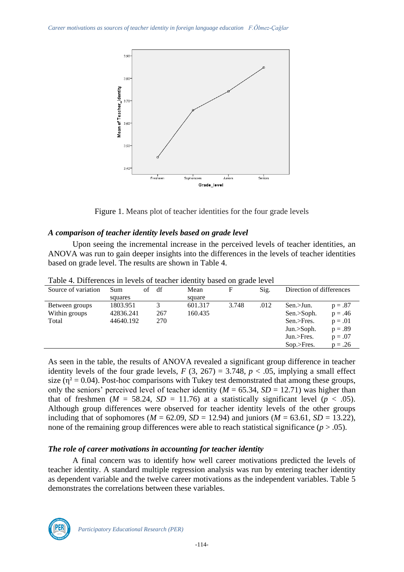

Figure 1. Means plot of teacher identities for the four grade levels

# *A comparison of teacher identity levels based on grade level*

Upon seeing the incremental increase in the perceived levels of teacher identities, an ANOVA was run to gain deeper insights into the differences in the levels of teacher identities based on grade level. The results are shown in Table 4.

| Source of variation | Sum       | of | df  | Mean    | F     | Sig. | Direction of differences |           |  |
|---------------------|-----------|----|-----|---------|-------|------|--------------------------|-----------|--|
|                     | squares   |    |     | square  |       |      |                          |           |  |
| Between groups      | 1803.951  |    |     | 601.317 | 3.748 | .012 | Sen.>Jun.                | $p = .87$ |  |
| Within groups       | 42836.241 |    | 267 | 160.435 |       |      | Sen.>Soph.               | $p = .46$ |  |
| Total               | 44640.192 |    | 270 |         |       |      | Sen.>Fres.               | $p = .01$ |  |
|                     |           |    |     |         |       |      | Jun. > Soph.             | $p = .89$ |  |
|                     |           |    |     |         |       |      | Jun.>Fres.               | $p = .07$ |  |
|                     |           |    |     |         |       |      | $Sop.$ Fres.             | $p = .26$ |  |
|                     |           |    |     |         |       |      |                          |           |  |

Table 4. Differences in levels of teacher identity based on grade level

As seen in the table, the results of ANOVA revealed a significant group difference in teacher identity levels of the four grade levels,  $F(3, 267) = 3.748$ ,  $p < .05$ , implying a small effect size ( $\eta^2 = 0.04$ ). Post-hoc comparisons with Tukey test demonstrated that among these groups, only the seniors' perceived level of teacher identity ( $M = 65.34$ ,  $SD = 12.71$ ) was higher than that of freshmen ( $M = 58.24$ ,  $SD = 11.76$ ) at a statistically significant level ( $p < .05$ ). Although group differences were observed for teacher identity levels of the other groups including that of sophomores ( $M = 62.09$ ,  $SD = 12.94$ ) and juniors ( $M = 63.61$ ,  $SD = 13.22$ ), none of the remaining group differences were able to reach statistical significance  $(p > .05)$ .

# *The role of career motivations in accounting for teacher identity*

A final concern was to identify how well career motivations predicted the levels of teacher identity. A standard multiple regression analysis was run by entering teacher identity as dependent variable and the twelve career motivations as the independent variables. Table 5 demonstrates the correlations between these variables.

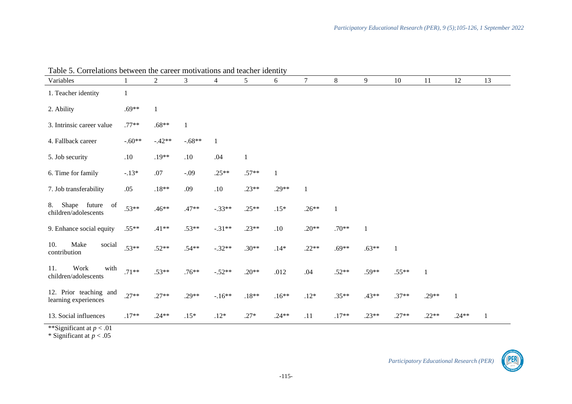| I dole 5. Correlations between the career motivations and teacher fuentity<br>Variables |          | $\overline{2}$ | 3        | 4        | 5       | 6       | $\tau$       | 8       | 9       | 10           | 11           | 12           | 13 |
|-----------------------------------------------------------------------------------------|----------|----------------|----------|----------|---------|---------|--------------|---------|---------|--------------|--------------|--------------|----|
| 1. Teacher identity                                                                     | 1        |                |          |          |         |         |              |         |         |              |              |              |    |
| 2. Ability                                                                              | $.69**$  | $\mathbf{1}$   |          |          |         |         |              |         |         |              |              |              |    |
| 3. Intrinsic career value                                                               | $.77**$  | $.68**$        | $\,1\,$  |          |         |         |              |         |         |              |              |              |    |
| 4. Fallback career                                                                      | $-.60**$ | $-.42**$       | $-.68**$ | 1        |         |         |              |         |         |              |              |              |    |
| 5. Job security                                                                         | .10      | $.19**$        | .10      | .04      | 1       |         |              |         |         |              |              |              |    |
| 6. Time for family                                                                      | $-.13*$  | .07            | $-.09$   | $.25**$  | $.57**$ | 1       |              |         |         |              |              |              |    |
| 7. Job transferability                                                                  | .05      | $.18**$        | .09      | $.10$    | $.23**$ | $.29**$ | $\mathbf{1}$ |         |         |              |              |              |    |
| Shape<br>future of<br>8.<br>children/adolescents                                        | $.53**$  | $.46**$        | $.47**$  | $-.33**$ | $.25**$ | $.15*$  | $.26**$      | 1       |         |              |              |              |    |
| 9. Enhance social equity                                                                | $.55**$  | $.41**$        | $.53**$  | $-.31**$ | $.23**$ | $.10\,$ | $.20**$      | $.70**$ |         |              |              |              |    |
| Make<br>10.<br>social<br>contribution                                                   | $.53**$  | $.52**$        | $.54**$  | $-.32**$ | $.30**$ | $.14*$  | $.22**$      | $.69**$ | $.63**$ | $\mathbf{1}$ |              |              |    |
| Work<br>with<br>11.<br>children/adolescents                                             | $.71**$  | $.53**$        | $.76**$  | $-.52**$ | $.20**$ | .012    | .04          | $.52**$ | $.59**$ | $.55**$      | $\mathbf{1}$ |              |    |
| 12. Prior teaching and<br>learning experiences                                          | $.27**$  | $.27**$        | $.29**$  | $-.16**$ | $.18**$ | $.16**$ | $.12*$       | $.35**$ | $.43**$ | $.37**$      | $.29**$      | $\mathbf{1}$ |    |
| 13. Social influences                                                                   | $.17**$  | $.24**$        | $.15*$   | $.12*$   | $.27*$  | $.24**$ | .11          | $.17**$ | $.23**$ | $.27**$      | $.22**$      | $.24**$      |    |

Table 5. Correlations between the career motivations and teacher identity

\*\*Significant at *p* < .01

\* Significant at *p* < .05

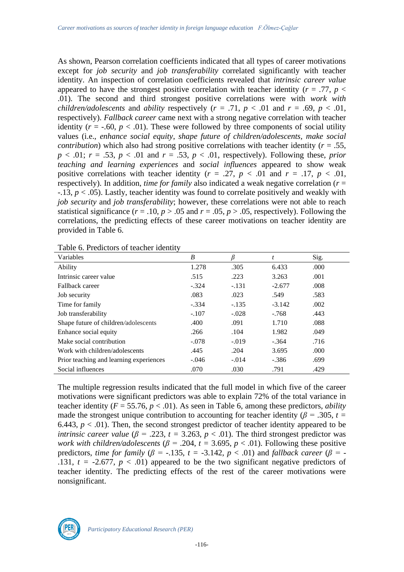As shown, Pearson correlation coefficients indicated that all types of career motivations except for *job security* and *job transferability* correlated significantly with teacher identity. An inspection of correlation coefficients revealed that *intrinsic career value* appeared to have the strongest positive correlation with teacher identity ( $r = .77$ ,  $p <$ .01). The second and third strongest positive correlations were with *work with children/adolescents* and *ability* respectively ( $r = .71$ ,  $p < .01$  and  $r = .69$ ,  $p < .01$ , respectively). *Fallback career* came next with a strong negative correlation with teacher identity  $(r = -.60, p < .01)$ . These were followed by three components of social utility values (i.e., *enhance social equity*, *shape future of children/adolescents, make social contribution*) which also had strong positive correlations with teacher identity ( $r = .55$ ,  $p < .01$ ;  $r = .53$ ,  $p < .01$  and  $r = .53$ ,  $p < .01$ , respectively). Following these, *prior teaching and learning experiences* and *social influences* appeared to show weak positive correlations with teacher identity ( $r = .27$ ,  $p < .01$  and  $r = .17$ ,  $p < .01$ , respectively). In addition, *time for family* also indicated a weak negative correlation (*r* = -.13, *p* < .05). Lastly, teacher identity was found to correlate positively and weakly with *job security* and *job transferability*; however, these correlations were not able to reach statistical significance ( $r = .10$ ,  $p > .05$  and  $r = .05$ ,  $p > .05$ , respectively). Following the correlations, the predicting effects of these career motivations on teacher identity are provided in Table 6.

| acio oi i regiono oi teaenei igentit    |         |         |          |      |
|-----------------------------------------|---------|---------|----------|------|
| Variables                               | B       |         | t        | Sig. |
| Ability                                 | 1.278   | .305    | 6.433    | .000 |
| Intrinsic career value                  | .515    | .223    | 3.263    | .001 |
| Fallback career                         | $-.324$ | $-.131$ | $-2.677$ | .008 |
| Job security                            | .083    | .023    | .549     | .583 |
| Time for family                         | $-.334$ | $-.135$ | $-3.142$ | .002 |
| Job transferability                     | $-.107$ | $-.028$ | $-.768$  | .443 |
| Shape future of children/adolescents    | .400    | .091    | 1.710    | .088 |
| Enhance social equity                   | .266    | .104    | 1.982    | .049 |
| Make social contribution                | $-.078$ | $-.019$ | $-.364$  | .716 |
| Work with children/adolescents          | .445    | .204    | 3.695    | .000 |
| Prior teaching and learning experiences | $-.046$ | $-.014$ | $-.386$  | .699 |
| Social influences                       | .070    | .030    | .791     | .429 |

Table 6. Predictors of teacher identity

The multiple regression results indicated that the full model in which five of the career motivations were significant predictors was able to explain 72% of the total variance in teacher identity  $(F = 55.76, p < .01)$ . As seen in Table 6, among these predictors, *ability* made the strongest unique contribution to accounting for teacher identity ( $\beta$  = .305, *t* = 6.443,  $p < .01$ ). Then, the second strongest predictor of teacher identity appeared to be *intrinsic career value* ( $\beta$  = .223,  $t$  = 3.263,  $p$  < .01). The third strongest predictor was *work with children/adolescents* ( $\beta$  = .204,  $t$  = 3.695,  $p$  < .01). Following these positive predictors, *time for family* ( $\beta$  = -.135, *t* = -3.142, *p* < .01) and *fallback career* ( $\beta$  = -.131,  $t = -2.677$ ,  $p < .01$ ) appeared to be the two significant negative predictors of teacher identity. The predicting effects of the rest of the career motivations were nonsignificant.

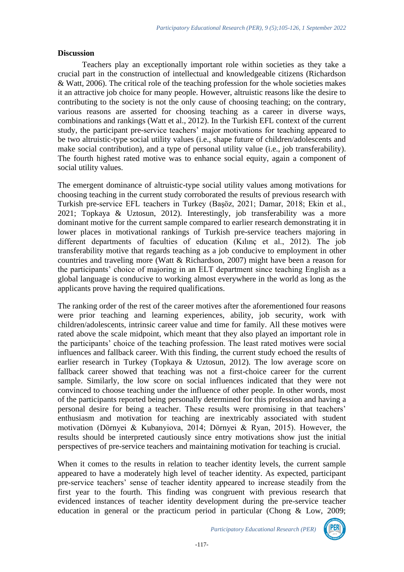#### **Discussion**

Teachers play an exceptionally important role within societies as they take a crucial part in the construction of intellectual and knowledgeable citizens (Richardson & Watt, 2006). The critical role of the teaching profession for the whole societies makes it an attractive job choice for many people. However, altruistic reasons like the desire to contributing to the society is not the only cause of choosing teaching; on the contrary, various reasons are asserted for choosing teaching as a career in diverse ways, combinations and rankings (Watt et al., 2012). In the Turkish EFL context of the current study, the participant pre-service teachers' major motivations for teaching appeared to be two altruistic-type social utility values (i.e., shape future of children/adolescents and make social contribution), and a type of personal utility value (i.e., job transferability). The fourth highest rated motive was to enhance social equity, again a component of social utility values.

The emergent dominance of altruistic-type social utility values among motivations for choosing teaching in the current study corroborated the results of previous research with Turkish pre-service EFL teachers in Turkey (Başöz, 2021; Damar, 2018; Ekin et al., 2021; Topkaya & Uztosun, 2012). Interestingly, job transferability was a more dominant motive for the current sample compared to earlier research demonstrating it in lower places in motivational rankings of Turkish pre-service teachers majoring in different departments of faculties of education (Kılınç et al., 2012). The job transferability motive that regards teaching as a job conducive to employment in other countries and traveling more (Watt & Richardson, 2007) might have been a reason for the participants' choice of majoring in an ELT department since teaching English as a global language is conducive to working almost everywhere in the world as long as the applicants prove having the required qualifications.

The ranking order of the rest of the career motives after the aforementioned four reasons were prior teaching and learning experiences, ability, job security, work with children/adolescents, intrinsic career value and time for family. All these motives were rated above the scale midpoint, which meant that they also played an important role in the participants' choice of the teaching profession. The least rated motives were social influences and fallback career. With this finding, the current study echoed the results of earlier research in Turkey (Topkaya & Uztosun, 2012). The low average score on fallback career showed that teaching was not a first-choice career for the current sample. Similarly, the low score on social influences indicated that they were not convinced to choose teaching under the influence of other people. In other words, most of the participants reported being personally determined for this profession and having a personal desire for being a teacher. These results were promising in that teachers' enthusiasm and motivation for teaching are inextricably associated with student motivation (Dörnyei & Kubanyiova, 2014; Dörnyei & Ryan, 2015). However, the results should be interpreted cautiously since entry motivations show just the initial perspectives of pre-service teachers and maintaining motivation for teaching is crucial.

When it comes to the results in relation to teacher identity levels, the current sample appeared to have a moderately high level of teacher identity. As expected, participant pre-service teachers' sense of teacher identity appeared to increase steadily from the first year to the fourth. This finding was congruent with previous research that evidenced instances of teacher identity development during the pre-service teacher education in general or the practicum period in particular (Chong & Low, 2009;

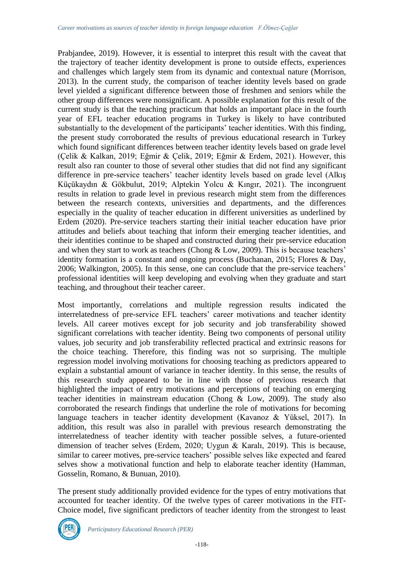Prabjandee, 2019). However, it is essential to interpret this result with the caveat that the trajectory of teacher identity development is prone to outside effects, experiences and challenges which largely stem from its dynamic and contextual nature (Morrison, 2013). In the current study, the comparison of teacher identity levels based on grade level yielded a significant difference between those of freshmen and seniors while the other group differences were nonsignificant. A possible explanation for this result of the current study is that the teaching practicum that holds an important place in the fourth year of EFL teacher education programs in Turkey is likely to have contributed substantially to the development of the participants' teacher identities. With this finding, the present study corroborated the results of previous educational research in Turkey which found significant differences between teacher identity levels based on grade level (Çelik & Kalkan, 2019; Eğmir & Çelik, 2019; Eğmir & Erdem, 2021). However, this result also ran counter to those of several other studies that did not find any significant difference in pre-service teachers' teacher identity levels based on grade level (Alkış Küçükaydın & Gökbulut, 2019; Alptekin Yolcu & Kıngır, 2021). The incongruent results in relation to grade level in previous research might stem from the differences between the research contexts, universities and departments, and the differences especially in the quality of teacher education in different universities as underlined by Erdem (2020). Pre-service teachers starting their initial teacher education have prior attitudes and beliefs about teaching that inform their emerging teacher identities, and their identities continue to be shaped and constructed during their pre-service education and when they start to work as teachers (Chong & Low, 2009). This is because teachers' identity formation is a constant and ongoing process (Buchanan, 2015; Flores & Day, 2006; Walkington, 2005). In this sense, one can conclude that the pre-service teachers' professional identities will keep developing and evolving when they graduate and start teaching, and throughout their teacher career.

Most importantly, correlations and multiple regression results indicated the interrelatedness of pre-service EFL teachers' career motivations and teacher identity levels. All career motives except for job security and job transferability showed significant correlations with teacher identity. Being two components of personal utility values, job security and job transferability reflected practical and extrinsic reasons for the choice teaching. Therefore, this finding was not so surprising. The multiple regression model involving motivations for choosing teaching as predictors appeared to explain a substantial amount of variance in teacher identity. In this sense, the results of this research study appeared to be in line with those of previous research that highlighted the impact of entry motivations and perceptions of teaching on emerging teacher identities in mainstream education (Chong & Low, 2009). The study also corroborated the research findings that underline the role of motivations for becoming language teachers in teacher identity development (Kavanoz & Yüksel, 2017). In addition, this result was also in parallel with previous research demonstrating the interrelatedness of teacher identity with teacher possible selves, a future-oriented dimension of teacher selves (Erdem, 2020; Uygun & Karalı, 2019). This is because, similar to career motives, pre-service teachers' possible selves like expected and feared selves show a motivational function and help to elaborate teacher identity (Hamman, Gosselin, Romano, & Bunuan, 2010).

The present study additionally provided evidence for the types of entry motivations that accounted for teacher identity. Of the twelve types of career motivations in the FIT-Choice model, five significant predictors of teacher identity from the strongest to least

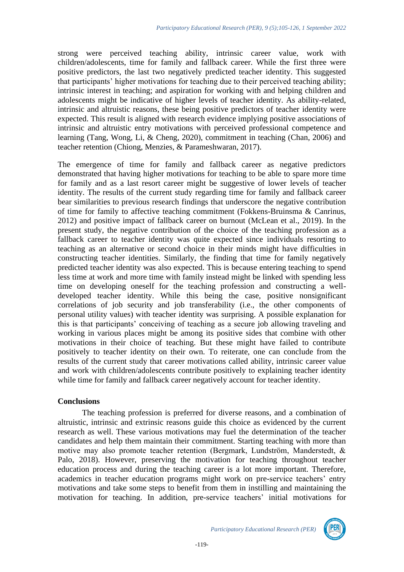strong were perceived teaching ability, intrinsic career value, work with children/adolescents, time for family and fallback career. While the first three were positive predictors, the last two negatively predicted teacher identity. This suggested that participants' higher motivations for teaching due to their perceived teaching ability; intrinsic interest in teaching; and aspiration for working with and helping children and adolescents might be indicative of higher levels of teacher identity. As ability-related, intrinsic and altruistic reasons, these being positive predictors of teacher identity were expected. This result is aligned with research evidence implying positive associations of intrinsic and altruistic entry motivations with perceived professional competence and learning (Tang, Wong, Li, & Cheng, 2020), commitment in teaching (Chan, 2006) and teacher retention (Chiong, Menzies, & Parameshwaran, 2017).

The emergence of time for family and fallback career as negative predictors demonstrated that having higher motivations for teaching to be able to spare more time for family and as a last resort career might be suggestive of lower levels of teacher identity. The results of the current study regarding time for family and fallback career bear similarities to previous research findings that underscore the negative contribution of time for family to affective teaching commitment (Fokkens-Bruinsma & Canrinus, 2012) and positive impact of fallback career on burnout (McLean et al., 2019). In the present study, the negative contribution of the choice of the teaching profession as a fallback career to teacher identity was quite expected since individuals resorting to teaching as an alternative or second choice in their minds might have difficulties in constructing teacher identities. Similarly, the finding that time for family negatively predicted teacher identity was also expected. This is because entering teaching to spend less time at work and more time with family instead might be linked with spending less time on developing oneself for the teaching profession and constructing a welldeveloped teacher identity. While this being the case, positive nonsignificant correlations of job security and job transferability (i.e., the other components of personal utility values) with teacher identity was surprising. A possible explanation for this is that participants' conceiving of teaching as a secure job allowing traveling and working in various places might be among its positive sides that combine with other motivations in their choice of teaching. But these might have failed to contribute positively to teacher identity on their own. To reiterate, one can conclude from the results of the current study that career motivations called ability, intrinsic career value and work with children/adolescents contribute positively to explaining teacher identity while time for family and fallback career negatively account for teacher identity.

### **Conclusions**

The teaching profession is preferred for diverse reasons, and a combination of altruistic, intrinsic and extrinsic reasons guide this choice as evidenced by the current research as well. These various motivations may fuel the determination of the teacher candidates and help them maintain their commitment. Starting teaching with more than motive may also promote teacher retention (Bergmark, Lundström, Manderstedt, & Palo, 2018). However, preserving the motivation for teaching throughout teacher education process and during the teaching career is a lot more important. Therefore, academics in teacher education programs might work on pre-service teachers' entry motivations and take some steps to benefit from them in instilling and maintaining the motivation for teaching. In addition, pre-service teachers' initial motivations for



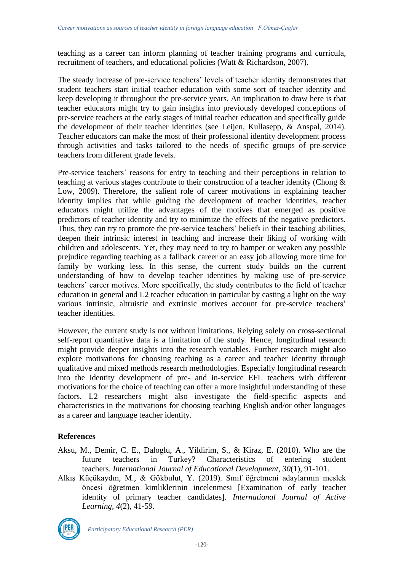teaching as a career can inform planning of teacher training programs and curricula, recruitment of teachers, and educational policies (Watt & Richardson, 2007).

The steady increase of pre-service teachers' levels of teacher identity demonstrates that student teachers start initial teacher education with some sort of teacher identity and keep developing it throughout the pre-service years. An implication to draw here is that teacher educators might try to gain insights into previously developed conceptions of pre-service teachers at the early stages of initial teacher education and specifically guide the development of their teacher identities (see Leijen, Kullasepp, & Anspal, 2014). Teacher educators can make the most of their professional identity development process through activities and tasks tailored to the needs of specific groups of pre-service teachers from different grade levels.

Pre-service teachers' reasons for entry to teaching and their perceptions in relation to teaching at various stages contribute to their construction of a teacher identity (Chong & Low, 2009). Therefore, the salient role of career motivations in explaining teacher identity implies that while guiding the development of teacher identities, teacher educators might utilize the advantages of the motives that emerged as positive predictors of teacher identity and try to minimize the effects of the negative predictors. Thus, they can try to promote the pre-service teachers' beliefs in their teaching abilities, deepen their intrinsic interest in teaching and increase their liking of working with children and adolescents. Yet, they may need to try to hamper or weaken any possible prejudice regarding teaching as a fallback career or an easy job allowing more time for family by working less. In this sense, the current study builds on the current understanding of how to develop teacher identities by making use of pre-service teachers' career motives. More specifically, the study contributes to the field of teacher education in general and L2 teacher education in particular by casting a light on the way various intrinsic, altruistic and extrinsic motives account for pre-service teachers' teacher identities.

However, the current study is not without limitations. Relying solely on cross-sectional self-report quantitative data is a limitation of the study. Hence, longitudinal research might provide deeper insights into the research variables. Further research might also explore motivations for choosing teaching as a career and teacher identity through qualitative and mixed methods research methodologies. Especially longitudinal research into the identity development of pre- and in-service EFL teachers with different motivations for the choice of teaching can offer a more insightful understanding of these factors. L2 researchers might also investigate the field-specific aspects and characteristics in the motivations for choosing teaching English and/or other languages as a career and language teacher identity.

# **References**

- Aksu, M., Demir, C. E., Daloglu, A., Yildirim, S., & Kiraz, E. (2010). Who are the future teachers in Turkey? Characteristics of entering student teachers. *International Journal of Educational Development*, *30*(1), 91-101.
- Alkış Küçükaydın, M., & Gökbulut, Y. (2019). Sınıf öğretmeni adaylarının meslek öncesi öğretmen kimliklerinin incelenmesi [Examination of early teacher identity of primary teacher candidates]. *International Journal of Active Learning, 4*(2), 41-59.

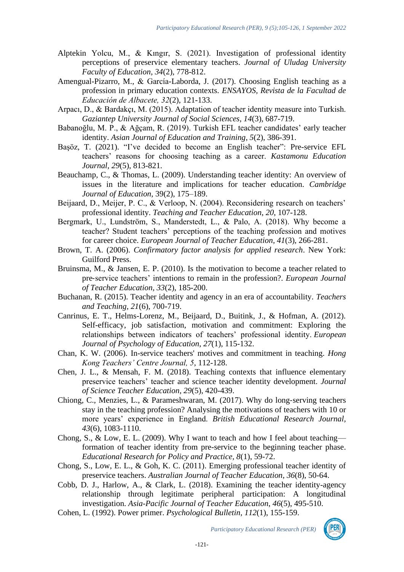- Alptekin Yolcu, M., & Kıngır, S. (2021). Investigation of professional identity perceptions of preservice elementary teachers. *Journal of Uludag University Faculty of Education, 34*(2), 778-812.
- Amengual-Pizarro, M., & García-Laborda, J. (2017). Choosing English teaching as a profession in primary education contexts. *ENSAYOS, Revista de la Facultad de Educación de Albacete, 32*(2), 121-133.
- Arpacı, D., & Bardakçı, M. (2015). Adaptation of teacher identity measure into Turkish. *Gaziantep University Journal of Social Sciences, 14*(3), 687-719.
- Babanoğlu, M. P., & Ağçam, R. (2019). Turkish EFL teacher candidates' early teacher identity. *Asian Journal of Education and Training*, *5*(2), 386-391.
- Başöz, T. (2021). "I've decided to become an English teacher": Pre-service EFL teachers' reasons for choosing teaching as a career. *Kastamonu Education Journal, 29*(5), 813-821.
- Beauchamp, C., & Thomas, L. (2009). Understanding teacher identity: An overview of issues in the literature and implications for teacher education. *Cambridge Journal of Education,* 39(2), 175–189.
- Beijaard, D., Meijer, P. C., & Verloop, N. (2004). Reconsidering research on teachers' professional identity. *Teaching and Teacher Education*, *20*, 107-128.
- Bergmark, U., Lundström, S., Manderstedt, L., & Palo, A. (2018). Why become a teacher? Student teachers' perceptions of the teaching profession and motives for career choice. *European Journal of Teacher Education, 41*(3), 266-281.
- Brown, T. A. (2006). *Confirmatory factor analysis for applied research*. New York: Guilford Press.
- Bruinsma, M., & Jansen, E. P. (2010). Is the motivation to become a teacher related to pre‐service teachers' intentions to remain in the profession?. *European Journal of Teacher Education, 33*(2), 185-200.
- Buchanan, R. (2015). Teacher identity and agency in an era of accountability. *Teachers and Teaching, 21*(6), 700-719.
- Canrinus, E. T., Helms-Lorenz, M., Beijaard, D., Buitink, J., & Hofman, A. (2012). Self-efficacy, job satisfaction, motivation and commitment: Exploring the relationships between indicators of teachers' professional identity. *European Journal of Psychology of Education*, *27*(1), 115-132.
- Chan, K. W. (2006). In-service teachers' motives and commitment in teaching. *Hong Kong Teachers' Centre Journal, 5*, 112-128.
- Chen, J. L., & Mensah, F. M. (2018). Teaching contexts that influence elementary preservice teachers' teacher and science teacher identity development. *Journal of Science Teacher Education, 29*(5), 420-439.
- Chiong, C., Menzies, L., & Parameshwaran, M. (2017). Why do long‐serving teachers stay in the teaching profession? Analysing the motivations of teachers with 10 or more years' experience in England. *British Educational Research Journal, 43*(6), 1083-1110.
- Chong, S., & Low, E. L. (2009). Why I want to teach and how I feel about teaching formation of teacher identity from pre-service to the beginning teacher phase. *Educational Research for Policy and Practice, 8*(1), 59-72.
- Chong, S., Low, E. L., & Goh, K. C. (2011). Emerging professional teacher identity of preservice teachers. *Australian Journal of Teacher Education*, *36*(8), 50-64.
- Cobb, D. J., Harlow, A., & Clark, L. (2018). Examining the teacher identity-agency relationship through legitimate peripheral participation: A longitudinal investigation. *Asia-Pacific Journal of Teacher Education*, *46*(5), 495-510.
- Cohen, L. (1992). Power primer. *Psychological Bulletin, 112*(1), 155-159.

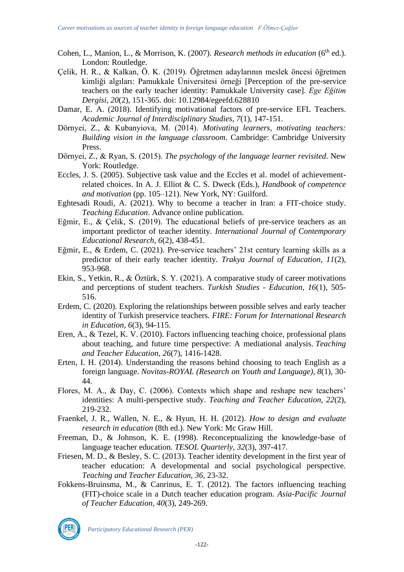- Cohen, L., Manion, L., & Morrison, K. (2007). *Research methods in education* (6<sup>th</sup> ed.). London: Routledge.
- Çelik, H. R., & Kalkan, Ö. K. (2019). Öğretmen adaylarının meslek öncesi öğretmen kimliği algıları: Pamukkale Üniversitesi örneği [Perception of the pre-service teachers on the early teacher identity: Pamukkale University case]. *Ege Eğitim Dergisi, 20*(2), 151-365. doi: 10.12984/egeefd.628810
- Damar, E. A. (2018). Identifying motivational factors of pre-service EFL Teachers. *Academic Journal of Interdisciplinary Studies, 7*(1), 147-151.
- Dörnyei, Z., & Kubanyiova, M. (2014). *Motivating learners, motivating teachers: Building vision in the language classroom*. Cambridge: Cambridge University Press.
- Dörnyei, Z., & Ryan, S. (2015). *The psychology of the language learner revisited*. New York: Routledge.
- Eccles, J. S. (2005). Subjective task value and the Eccles et al. model of achievementrelated choices. In A. J. Elliot & C. S. Dweck (Eds.), *Handbook of competence and motivation* (pp. 105–121). New York, NY: Guilford.
- Eghtesadi Roudi, A. (2021). Why to become a teacher in Iran: a FIT-choice study. *Teaching Education*. Advance online publication.
- Eğmir, E., & Çelik, S. (2019). The educational beliefs of pre-service teachers as an important predictor of teacher identity. *International Journal of Contemporary Educational Research, 6*(2), 438-451.
- Eğmir, E., & Erdem, C. (2021). Pre-service teachers' 21st century learning skills as a predictor of their early teacher identity. *Trakya Journal of Education, 11*(2), 953-968.
- Ekin, S., Yetkin, R., & Öztürk, S. Y. (2021). A comparative study of career motivations and perceptions of student teachers. *Turkish Studies - Education, 16*(1), 505- 516.
- Erdem, C. (2020). Exploring the relationships between possible selves and early teacher identity of Turkish preservice teachers. *FIRE: Forum for International Research in Education, 6*(3), 94-115.
- Eren, A., & Tezel, K. V. (2010). Factors influencing teaching choice, professional plans about teaching, and future time perspective: A mediational analysis. *Teaching and Teacher Education*, *26*(7), 1416-1428.
- Erten, I. H. (2014). Understanding the reasons behind choosing to teach English as a foreign language. *Novitas-ROYAL (Research on Youth and Language)*, *8*(1), 30- 44.
- Flores, M. A., & Day, C. (2006). Contexts which shape and reshape new teachers' identities: A multi-perspective study. *Teaching and Teacher Education, 22*(2), 219-232.
- Fraenkel, J. R., Wallen, N. E., & Hyun, H. H. (2012). *How to design and evaluate research in education* (8th ed.). New York: Mc Graw Hill.
- Freeman, D., & Johnson, K. E. (1998). Reconceptualizing the knowledge-base of language teacher education. *TESOL Quarterly*, *32*(3), 397-417.
- Friesen, M. D., & Besley, S. C. (2013). Teacher identity development in the first year of teacher education: A developmental and social psychological perspective. *Teaching and Teacher Education, 36*, 23-32.
- Fokkens-Bruinsma, M., & Canrinus, E. T. (2012). The factors influencing teaching (FIT)-choice scale in a Dutch teacher education program. *Asia-Pacific Journal of Teacher Education, 40*(3), 249-269.

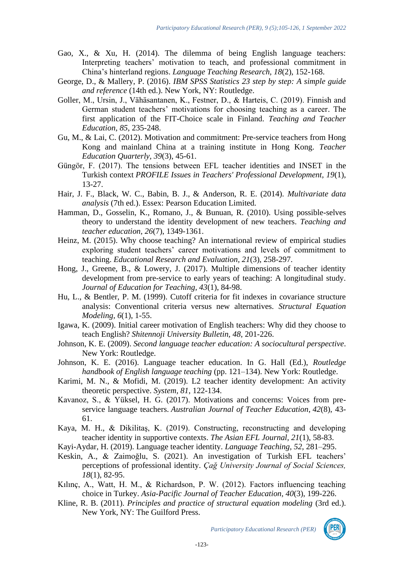- Gao, X., & Xu, H. (2014). The dilemma of being English language teachers: Interpreting teachers' motivation to teach, and professional commitment in China's hinterland regions. *Language Teaching Research, 18*(2), 152-168.
- George, D., & Mallery, P. (2016). *IBM SPSS Statistics 23 step by step: A simple guide and reference* (14th ed.). New York, NY: Routledge.
- Goller, M., Ursin, J., Vähäsantanen, K., Festner, D., & Harteis, C. (2019). Finnish and German student teachers' motivations for choosing teaching as a career. The first application of the FIT-Choice scale in Finland. *Teaching and Teacher Education*, *85*, 235-248.
- Gu, M., & Lai, C. (2012). Motivation and commitment: Pre-service teachers from Hong Kong and mainland China at a training institute in Hong Kong. *Teacher Education Quarterly, 39*(3), 45-61.
- Güngör, F. (2017). The tensions between EFL teacher identities and INSET in the Turkish context *PROFILE Issues in Teachers' Professional Development, 19*(1), 13-27.
- Hair, J. F., Black, W. C., Babin, B. J., & Anderson, R. E. (2014). *Multivariate data analysis* (7th ed.). Essex: Pearson Education Limited.
- Hamman, D., Gosselin, K., Romano, J., & Bunuan, R. (2010). Using possible-selves theory to understand the identity development of new teachers. *Teaching and teacher education, 26*(7), 1349-1361.
- Heinz, M. (2015). Why choose teaching? An international review of empirical studies exploring student teachers' career motivations and levels of commitment to teaching. *Educational Research and Evaluation, 21*(3), 258-297.
- Hong, J., Greene, B., & Lowery, J. (2017). Multiple dimensions of teacher identity development from pre-service to early years of teaching: A longitudinal study. *Journal of Education for Teaching, 43*(1), 84-98.
- Hu, L., & Bentler, P. M. (1999). Cutoff criteria for fit indexes in covariance structure analysis: Conventional criteria versus new alternatives. *Structural Equation Modeling, 6*(1), 1-55.
- Igawa, K. (2009). Initial career motivation of English teachers: Why did they choose to teach English? *Shitennoji University Bulletin, 48*, 201-226.
- Johnson, K. E. (2009). *Second language teacher education: A sociocultural perspective*. New York: Routledge.
- Johnson, K. E. (2016). Language teacher education. In G. Hall (Ed.), *Routledge handbook of English language teaching* (pp. 121–134). New York: Routledge.
- Karimi, M. N., & Mofidi, M. (2019). L2 teacher identity development: An activity theoretic perspective. *System, 81*, 122-134.
- Kavanoz, S., & Yüksel, H. G. (2017). Motivations and concerns: Voices from preservice language teachers. *Australian Journal of Teacher Education*, *42*(8), 43- 61.
- Kaya, M. H., & Dikilitaş, K. (2019). Constructing, reconstructing and developing teacher identity in supportive contexts. *The Asian EFL Journal, 21*(1), 58-83.
- Kayi-Aydar, H. (2019). Language teacher identity. *Language Teaching, 52*, 281–295.
- Keskin, A., & Zaimoğlu, S. (2021). An investigation of Turkish EFL teachers' perceptions of professional identity. *Çağ University Journal of Social Sciences, 18*(1), 82-95.
- Kılınç, A., Watt, H. M., & Richardson, P. W. (2012). Factors influencing teaching choice in Turkey. *Asia-Pacific Journal of Teacher Education, 40*(3), 199-226.
- Kline, R. B. (2011). *Principles and practice of structural equation modeling* (3rd ed.). New York, NY: The Guilford Press.

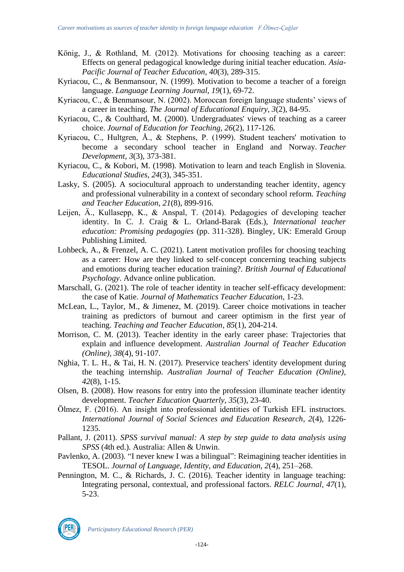- König, J., & Rothland, M. (2012). Motivations for choosing teaching as a career: Effects on general pedagogical knowledge during initial teacher education. *Asia-Pacific Journal of Teacher Education, 40*(3), 289-315.
- Kyriacou, C., & Benmansour, N. (1999). Motivation to become a teacher of a foreign language. *Language Learning Journal, 19*(1), 69-72.
- Kyriacou, C., & Benmansour, N. (2002). Moroccan foreign language students' views of a career in teaching. *The Journal of Educational Enquiry, 3*(2), 84-95.
- Kyriacou, C., & Coulthard, M. (2000). Undergraduates' views of teaching as a career choice. *Journal of Education for Teaching, 26*(2), 117-126.
- Kyriacou, C., Hultgren, Å., & Stephens, P. (1999). Student teachers' motivation to become a secondary school teacher in England and Norway. *Teacher Development*, *3*(3), 373-381.
- Kyriacou, C., & Kobori, M. (1998). Motivation to learn and teach English in Slovenia. *Educational Studies, 24*(3), 345-351.
- Lasky, S. (2005). A sociocultural approach to understanding teacher identity, agency and professional vulnerability in a context of secondary school reform. *Teaching and Teacher Education*, *21*(8), 899-916.
- Leijen, Ä., Kullasepp, K., & Anspal, T. (2014). Pedagogies of developing teacher identity. In C. J. Craig & L. Orland-Barak (Eds.), *International teacher education: Promising pedagogies* (pp. 311-328). Bingley, UK: Emerald Group Publishing Limited.
- Lohbeck, A., & Frenzel, A. C. (2021). Latent motivation profiles for choosing teaching as a career: How are they linked to self‐concept concerning teaching subjects and emotions during teacher education training?. *British Journal of Educational Psychology*. Advance online publication.
- Marschall, G. (2021). The role of teacher identity in teacher self-efficacy development: the case of Katie. *Journal of Mathematics Teacher Education*, 1-23.
- McLean, L., Taylor, M., & Jimenez, M. (2019). Career choice motivations in teacher training as predictors of burnout and career optimism in the first year of teaching. *Teaching and Teacher Education, 85*(1), 204-214.
- Morrison, C. M. (2013). Teacher identity in the early career phase: Trajectories that explain and influence development. *Australian Journal of Teacher Education (Online), 38*(4), 91-107.
- Nghia, T. L. H., & Tai, H. N. (2017). Preservice teachers' identity development during the teaching internship. *Australian Journal of Teacher Education (Online), 42*(8), 1-15.
- Olsen, B. (2008). How reasons for entry into the profession illuminate teacher identity development. *Teacher Education Quarterly, 35*(3), 23-40.
- Ölmez, F. (2016). An insight into professional identities of Turkish EFL instructors. *International Journal of Social Sciences and Education Research*, *2*(4), 1226- 1235.
- Pallant, J. (2011). *SPSS survival manual: A step by step guide to data analysis using SPSS* (4th ed.). Australia: Allen & Unwin.
- Pavlenko, A. (2003). "I never knew I was a bilingual": Reimagining teacher identities in TESOL. *Journal of Language, Identity, and Education, 2*(4), 251–268.
- Pennington, M. C., & Richards, J. C. (2016). Teacher identity in language teaching: Integrating personal, contextual, and professional factors. *RELC Journal, 47*(1), 5-23.

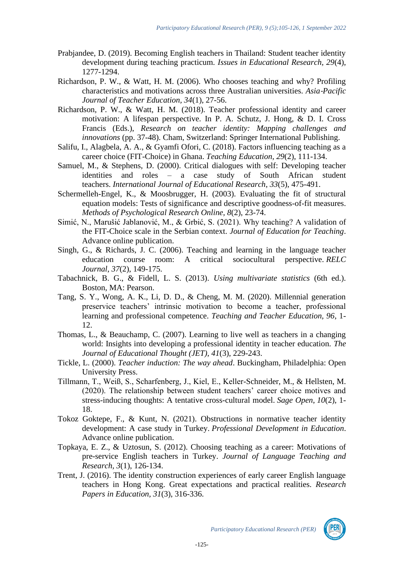- Prabjandee, D. (2019). Becoming English teachers in Thailand: Student teacher identity development during teaching practicum. *Issues in Educational Research, 29*(4), 1277-1294.
- Richardson, P. W., & Watt, H. M. (2006). Who chooses teaching and why? Profiling characteristics and motivations across three Australian universities. *Asia*‐*Pacific Journal of Teacher Education, 34*(1), 27-56.
- Richardson, P. W., & Watt, H. M. (2018). Teacher professional identity and career motivation: A lifespan perspective. In P. A. Schutz, J. Hong, & D. I. Cross Francis (Eds.), *Research on teacher identity: Mapping challenges and innovations* (pp. 37-48). Cham, Switzerland: Springer International Publishing.
- Salifu, I., Alagbela, A. A., & Gyamfi Ofori, C. (2018). Factors influencing teaching as a career choice (FIT-Choice) in Ghana. *Teaching Education, 29*(2), 111-134.
- Samuel, M., & Stephens, D. (2000). Critical dialogues with self: Developing teacher identities and roles – a case study of South African student teachers. *International Journal of Educational Research*, *33*(5), 475-491.
- Schermelleh-Engel, K., & Moosbrugger, H. (2003). Evaluating the fit of structural equation models: Tests of significance and descriptive goodness-of-fit measures. *Methods of Psychological Research Online, 8*(2), 23-74.
- Simić, N., Marušić Jablanović, M., & Grbić, S. (2021). Why teaching? A validation of the FIT-Choice scale in the Serbian context. *Journal of Education for Teaching*. Advance online publication.
- Singh, G., & Richards, J. C. (2006). Teaching and learning in the language teacher education course room: A critical sociocultural perspective. *RELC Journal*, *37*(2), 149-175.
- Tabachnick, B. G., & Fidell, L. S. (2013). *Using multivariate statistics* (6th ed.). Boston, MA: Pearson.
- Tang, S. Y., Wong, A. K., Li, D. D., & Cheng, M. M. (2020). Millennial generation preservice teachers' intrinsic motivation to become a teacher, professional learning and professional competence. *Teaching and Teacher Education, 96*, 1- 12.
- Thomas, L., & Beauchamp, C. (2007). Learning to live well as teachers in a changing world: Insights into developing a professional identity in teacher education. *The Journal of Educational Thought (JET), 41*(3), 229-243.
- Tickle, L. (2000). *Teacher induction: The way ahead*. Buckingham, Philadelphia: Open University Press.
- Tillmann, T., Weiß, S., Scharfenberg, J., Kiel, E., Keller-Schneider, M., & Hellsten, M. (2020). The relationship between student teachers' career choice motives and stress-inducing thoughts: A tentative cross-cultural model. *Sage Open*, *10*(2), 1- 18.
- Tokoz Goktepe, F., & Kunt, N. (2021). Obstructions in normative teacher identity development: A case study in Turkey. *Professional Development in Education*. Advance online publication.
- Topkaya, E. Z., & Uztosun, S. (2012). Choosing teaching as a career: Motivations of pre-service English teachers in Turkey. *Journal of Language Teaching and Research, 3*(1), 126-134.
- Trent, J. (2016). The identity construction experiences of early career English language teachers in Hong Kong. Great expectations and practical realities. *Research Papers in Education, 31*(3), 316-336.